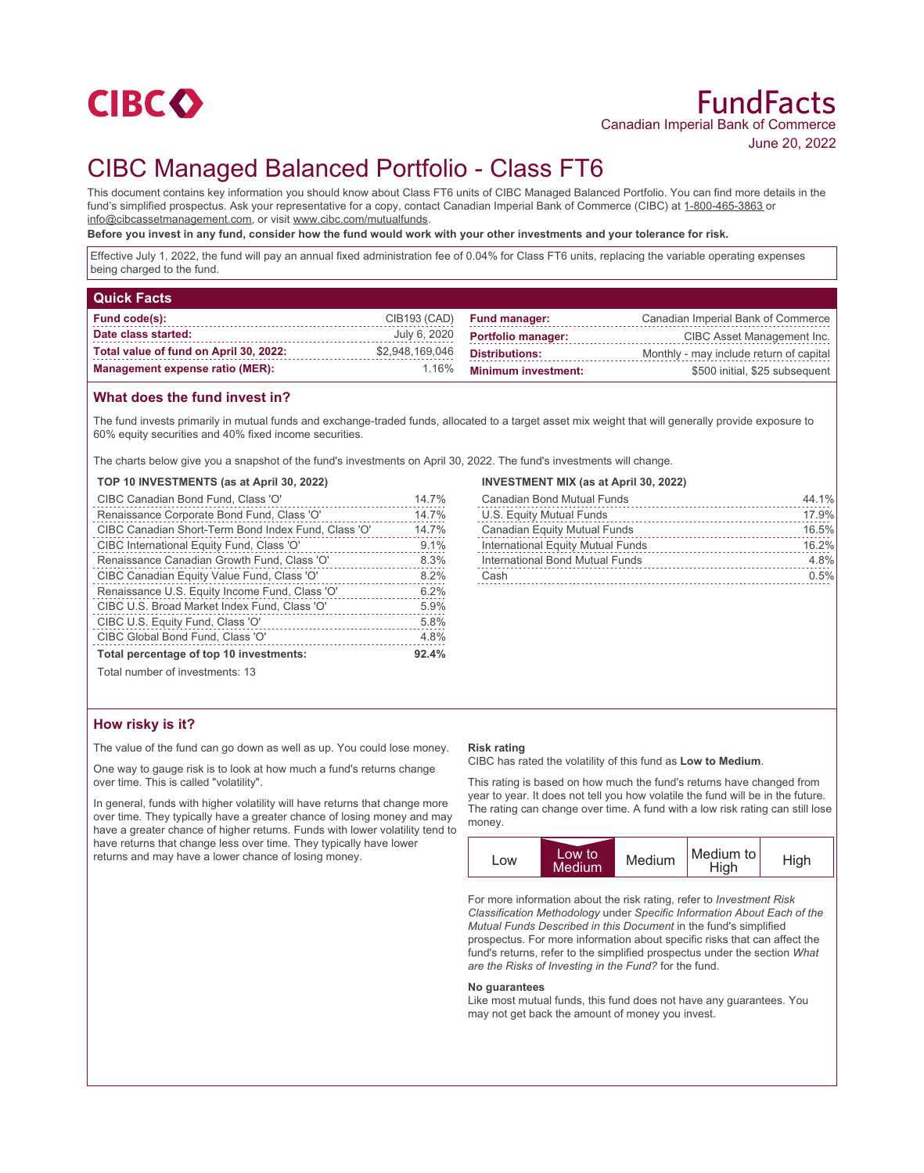

# CIBC Managed Balanced Portfolio - Class FT6

This document contains key information you should know about Class FT6 units of CIBC Managed Balanced Portfolio. You can find more details in the fund's simplified prospectus. Ask your representative for a copy, contact Canadian Imperial Bank of Commerce (CIBC) at 1-800-465-3863 or info@cibcassetmanagement.com, or visit www.cibc.com/mutualfunds.

**Before you invest in any fund, consider how the fund would work with your other investments and your tolerance for risk.**

Effective July 1, 2022, the fund will pay an annual fixed administration fee of 0.04% for Class FT6 units, replacing the variable operating expenses being charged to the fund.

| <b>Quick Facts</b>                     |                 |                            |                                         |
|----------------------------------------|-----------------|----------------------------|-----------------------------------------|
| Fund code(s):                          | CIB193 (CAD)    | <b>Fund manager:</b>       | Canadian Imperial Bank of Commerce      |
| Date class started:                    | July 6, 2020    | <b>Portfolio manager:</b>  | CIBC Asset Management Inc.              |
| Total value of fund on April 30, 2022: | \$2,948,169,046 | <b>Distributions:</b>      | Monthly - may include return of capital |
| <b>Management expense ratio (MER):</b> | 1.16%           | <b>Minimum investment:</b> | \$500 initial, \$25 subsequent          |

## **What does the fund invest in?**

The fund invests primarily in mutual funds and exchange-traded funds, allocated to a target asset mix weight that will generally provide exposure to 60% equity securities and 40% fixed income securities.

The charts below give you a snapshot of the fund's investments on April 30, 2022. The fund's investments will change.

#### **TOP 10 INVESTMENTS (as at April 30, 2022)**

| CIBC Canadian Bond Fund, Class 'O'                  | 14.7% |
|-----------------------------------------------------|-------|
| Renaissance Corporate Bond Fund, Class 'O'          | 14.7% |
| CIBC Canadian Short-Term Bond Index Fund, Class 'O' | 14.7% |
| CIBC International Equity Fund, Class 'O'           | 9.1%  |
| Renaissance Canadian Growth Fund, Class 'O'         | 8.3%  |
| CIBC Canadian Equity Value Fund, Class 'O'          | 8.2%  |
| Renaissance U.S. Equity Income Fund, Class 'O'      | 6.2%  |
| CIBC U.S. Broad Market Index Fund, Class 'O'        | 5.9%  |
| CIBC U.S. Equity Fund, Class 'O'                    | 5.8%  |
| CIBC Global Bond Fund, Class 'O'                    | 4.8%  |
| Total percentage of top 10 investments:             | 92.4% |

#### **INVESTMENT MIX (as at April 30, 2022)**

| <b>Canadian Bond Mutual Funds</b> | 44.1% |
|-----------------------------------|-------|
| U.S. Equity Mutual Funds          | 17.9% |
| Canadian Equity Mutual Funds      | 16.5% |
| International Equity Mutual Funds | 16.2% |
| International Bond Mutual Funds   | 4.8%  |
| Cash                              | 0.5%  |
|                                   |       |

Total number of investments: 13

### **How risky is it?**

The value of the fund can go down as well as up. You could lose money.

One way to gauge risk is to look at how much a fund's returns change over time. This is called "volatility".

In general, funds with higher volatility will have returns that change more over time. They typically have a greater chance of losing money and may have a greater chance of higher returns. Funds with lower volatility tend to have returns that change less over time. They typically have lower returns and may have a lower chance of losing money.

#### **Risk rating**

CIBC has rated the volatility of this fund as **Low to Medium**.

This rating is based on how much the fund's returns have changed from year to year. It does not tell you how volatile the fund will be in the future. The rating can change over time. A fund with a low risk rating can still lose money.



For more information about the risk rating, refer to *Investment Risk Classification Methodology* under *Specific Information About Each of the Mutual Funds Described in this Document* in the fund's simplified prospectus. For more information about specific risks that can affect the fund's returns, refer to the simplified prospectus under the section *What are the Risks of Investing in the Fund?* for the fund.

#### **No guarantees**

Like most mutual funds, this fund does not have any guarantees. You may not get back the amount of money you invest.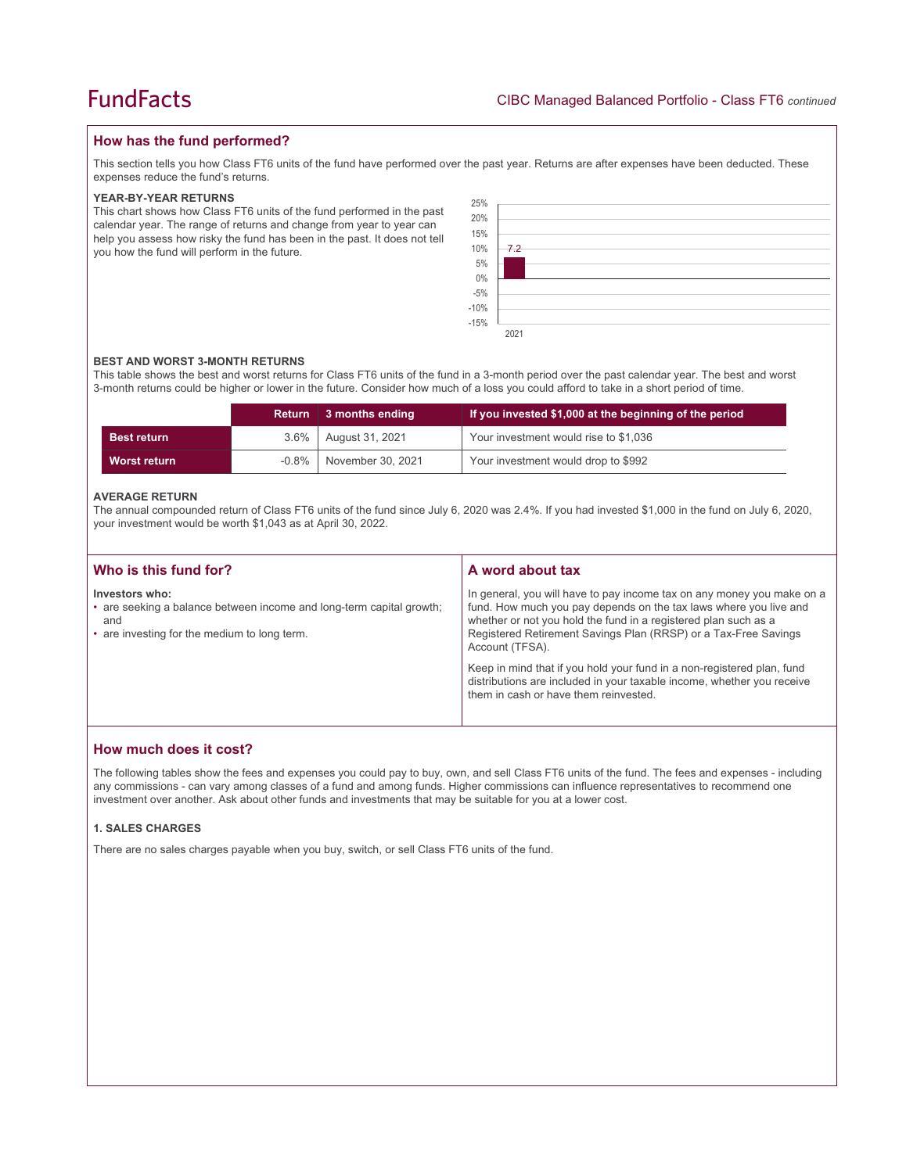## **How has the fund performed?**

This section tells you how Class FT6 units of the fund have performed over the past year. Returns are after expenses have been deducted. These expenses reduce the fund's returns.

#### **YEAR-BY-YEAR RETURNS**

This chart shows how Class FT6 units of the fund performed in the past calendar year. The range of returns and change from year to year can help you assess how risky the fund has been in the past. It does not tell you how the fund will perform in the future.

| 25%<br>20%<br>15%<br>10%<br>5%<br>$0\%$<br>-5%<br>-10%<br>-15% | 7.2  |
|----------------------------------------------------------------|------|
|                                                                |      |
|                                                                | 2021 |

#### **BEST AND WORST 3-MONTH RETURNS**

This table shows the best and worst returns for Class FT6 units of the fund in a 3-month period over the past calendar year. The best and worst 3-month returns could be higher or lower in the future. Consider how much of a loss you could afford to take in a short period of time.

|                    | <b>Return</b> | 3 months ending   | If you invested \$1,000 at the beginning of the period |
|--------------------|---------------|-------------------|--------------------------------------------------------|
| <b>Best return</b> | $3.6\%$       | August 31, 2021   | Your investment would rise to \$1,036                  |
| Worst return       | $-0.8\%$      | November 30, 2021 | Your investment would drop to \$992                    |

#### **AVERAGE RETURN**

The annual compounded return of Class FT6 units of the fund since July 6, 2020 was 2.4%. If you had invested \$1,000 in the fund on July 6, 2020, your investment would be worth \$1,043 as at April 30, 2022.

| Who is this fund for?                                                                                                                         | A word about tax                                                                                                                                                                                                                                                                                     |
|-----------------------------------------------------------------------------------------------------------------------------------------------|------------------------------------------------------------------------------------------------------------------------------------------------------------------------------------------------------------------------------------------------------------------------------------------------------|
| Investors who:<br>• are seeking a balance between income and long-term capital growth;<br>and<br>• are investing for the medium to long term. | In general, you will have to pay income tax on any money you make on a<br>fund. How much you pay depends on the tax laws where you live and<br>whether or not you hold the fund in a registered plan such as a<br>Registered Retirement Savings Plan (RRSP) or a Tax-Free Savings<br>Account (TFSA). |
|                                                                                                                                               | Keep in mind that if you hold your fund in a non-registered plan, fund<br>distributions are included in your taxable income, whether you receive<br>them in cash or have them reinvested.                                                                                                            |

## **How much does it cost?**

The following tables show the fees and expenses you could pay to buy, own, and sell Class FT6 units of the fund. The fees and expenses - including any commissions - can vary among classes of a fund and among funds. Higher commissions can influence representatives to recommend one investment over another. Ask about other funds and investments that may be suitable for you at a lower cost.

#### **1. SALES CHARGES**

There are no sales charges payable when you buy, switch, or sell Class FT6 units of the fund.